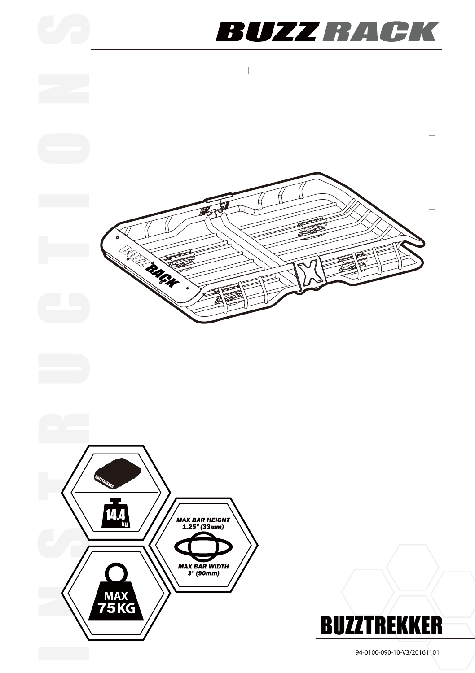## **BUZZ RACK**







94-0100-090-10-V3/20161101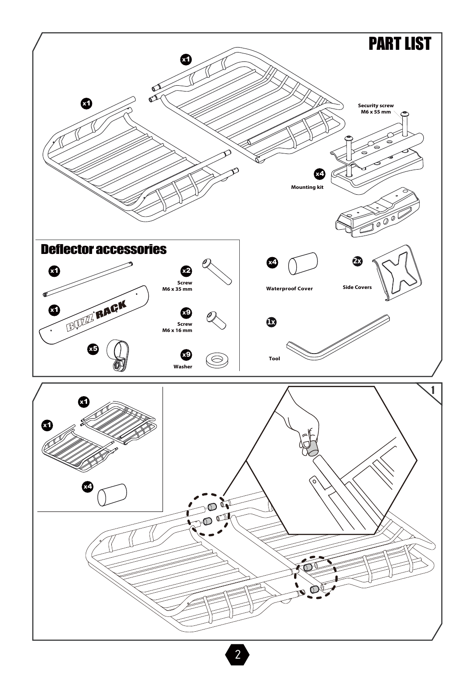

2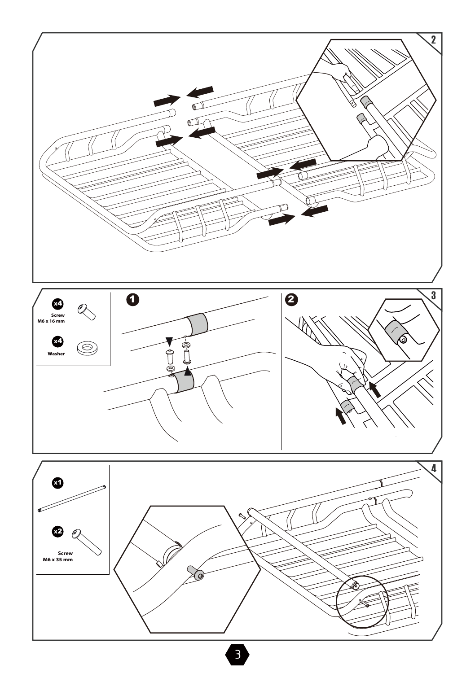

3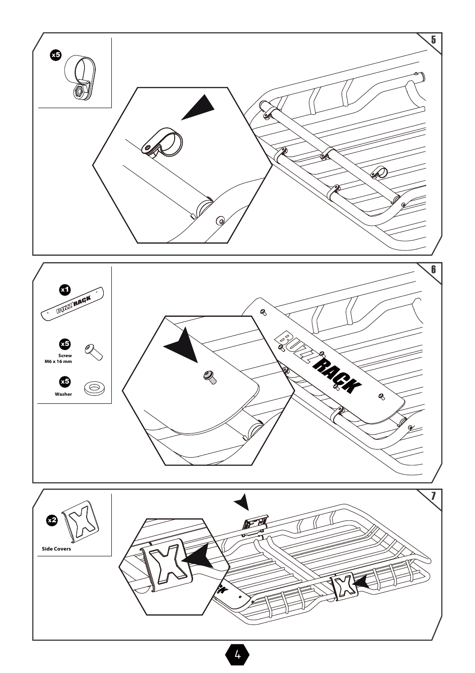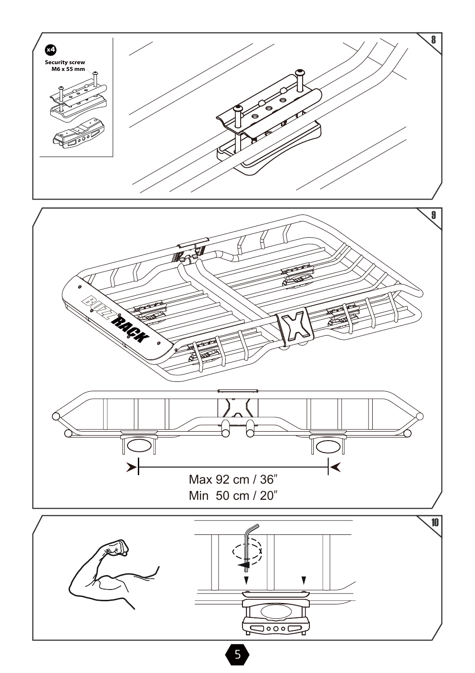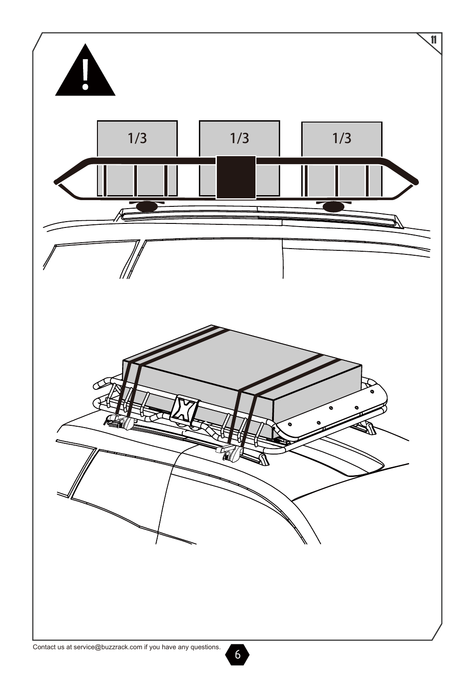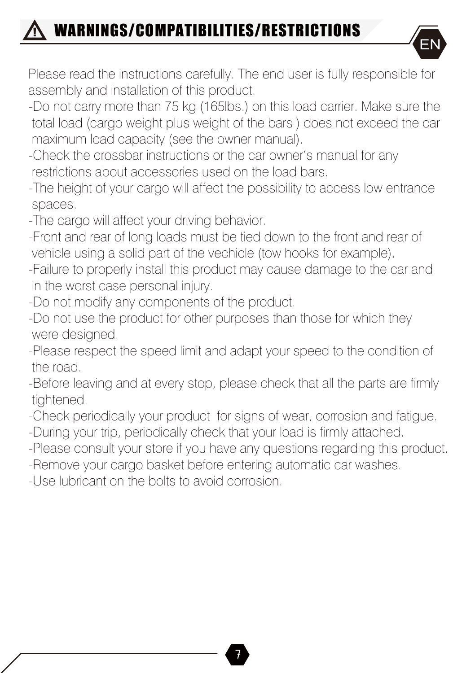## WARNINGS/COMPATIBILITIES/RESTRICTIONS !<br>!



Please read the instructions carefully. The end user is fully responsible for assembly and installation of this product.

- -Do not carry more than 75 kg (165lbs.) on this load carrier. Make sure the total load (cargo weight plus weight of the bars ) does not exceed the car maximum load capacity (see the owner manual).
- -Check the crossbar instructions or the car owner's manual for any restrictions about accessories used on the load bars.
- -The height of your cargo will affect the possibility to access low entrance spaces.
- -The cargo will affect your driving behavior.
- -Front and rear of long loads must be tied down to the front and rear of vehicle using a solid part of the vechicle (tow hooks for example).
- -Failure to properly install this product may cause damage to the car and in the worst case personal injury.
- -Do not modify any components of the product.
- -Do not use the product for other purposes than those for which they were designed.
- -Please respect the speed limit and adapt your speed to the condition of the road.
- -Before leaving and at every stop, please check that all the parts are firmly tightened.
- -Check periodically your product for signs of wear, corrosion and fatigue. -During your trip, periodically check that your load is firmly attached.
- -Please consult your store if you have any questions regarding this product.
- -Remove your cargo basket before entering automatic car washes.
- -Use lubricant on the bolts to avoid corrosion.